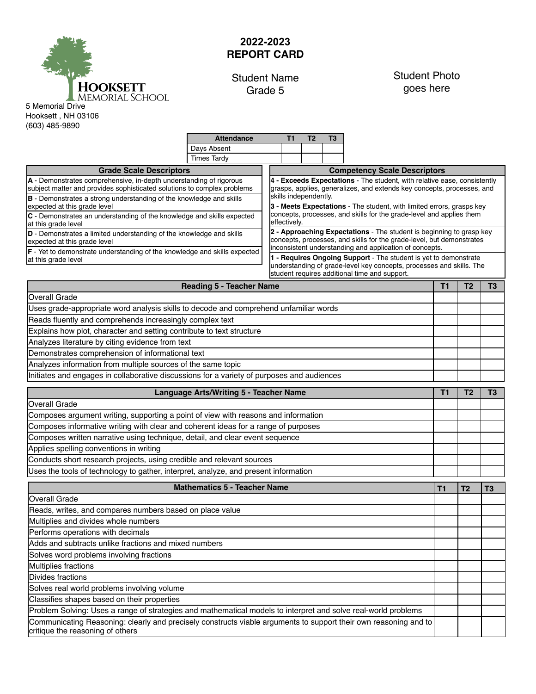

## **2022-2023 REPORT CARD**

## Student Name Grade 5

Attendance T1 T2 T3

## Student Photo goes here

Hooksett , NH 03106 (603) 485-9890

| <b>Times Tardy</b><br><b>Grade Scale Descriptors</b><br>A - Demonstrates comprehensive, in-depth understanding of rigorous<br>subject matter and provides sophisticated solutions to complex problems                                                 | <b>Competency Scale Descriptors</b>                                   |                |  |  |  |  |  |
|-------------------------------------------------------------------------------------------------------------------------------------------------------------------------------------------------------------------------------------------------------|-----------------------------------------------------------------------|----------------|--|--|--|--|--|
|                                                                                                                                                                                                                                                       |                                                                       |                |  |  |  |  |  |
|                                                                                                                                                                                                                                                       |                                                                       |                |  |  |  |  |  |
| 4 - Exceeds Expectations - The student, with relative ease, consistently<br>grasps, applies, generalizes, and extends key concepts, processes, and<br>skills independently.                                                                           |                                                                       |                |  |  |  |  |  |
| B - Demonstrates a strong understanding of the knowledge and skills<br>expected at this grade level                                                                                                                                                   | 3 - Meets Expectations - The student, with limited errors, grasps key |                |  |  |  |  |  |
| concepts, processes, and skills for the grade-level and applies them<br>C - Demonstrates an understanding of the knowledge and skills expected<br>effectively.<br>at this grade level                                                                 |                                                                       |                |  |  |  |  |  |
| 2 - Approaching Expectations - The student is beginning to grasp key<br>D - Demonstrates a limited understanding of the knowledge and skills<br>concepts, processes, and skills for the grade-level, but demonstrates<br>expected at this grade level |                                                                       |                |  |  |  |  |  |
| inconsistent understanding and application of concepts.<br>F - Yet to demonstrate understanding of the knowledge and skills expected<br>1 - Requires Ongoing Support - The student is yet to demonstrate<br>at this grade level                       |                                                                       |                |  |  |  |  |  |
| understanding of grade-level key concepts, processes and skills. The<br>student requires additional time and support.                                                                                                                                 |                                                                       |                |  |  |  |  |  |
| <b>Reading 5 - Teacher Name</b>                                                                                                                                                                                                                       | T <sub>1</sub><br>T <sub>2</sub>                                      | T <sub>3</sub> |  |  |  |  |  |
| <b>Overall Grade</b>                                                                                                                                                                                                                                  |                                                                       |                |  |  |  |  |  |
| Uses grade-appropriate word analysis skills to decode and comprehend unfamiliar words                                                                                                                                                                 |                                                                       |                |  |  |  |  |  |
| Reads fluently and comprehends increasingly complex text                                                                                                                                                                                              |                                                                       |                |  |  |  |  |  |
| Explains how plot, character and setting contribute to text structure                                                                                                                                                                                 |                                                                       |                |  |  |  |  |  |
| Analyzes literature by citing evidence from text                                                                                                                                                                                                      |                                                                       |                |  |  |  |  |  |
| Demonstrates comprehension of informational text                                                                                                                                                                                                      |                                                                       |                |  |  |  |  |  |
| Analyzes information from multiple sources of the same topic                                                                                                                                                                                          |                                                                       |                |  |  |  |  |  |
| Initiates and engages in collaborative discussions for a variety of purposes and audiences                                                                                                                                                            |                                                                       |                |  |  |  |  |  |
| Language Arts/Writing 5 - Teacher Name                                                                                                                                                                                                                |                                                                       |                |  |  |  |  |  |
| <b>Overall Grade</b>                                                                                                                                                                                                                                  |                                                                       |                |  |  |  |  |  |
| Composes argument writing, supporting a point of view with reasons and information                                                                                                                                                                    |                                                                       |                |  |  |  |  |  |
| Composes informative writing with clear and coherent ideas for a range of purposes                                                                                                                                                                    |                                                                       |                |  |  |  |  |  |
| Composes written narrative using technique, detail, and clear event sequence                                                                                                                                                                          |                                                                       |                |  |  |  |  |  |
| Applies spelling conventions in writing                                                                                                                                                                                                               |                                                                       |                |  |  |  |  |  |
| Conducts short research projects, using credible and relevant sources                                                                                                                                                                                 |                                                                       |                |  |  |  |  |  |
| Uses the tools of technology to gather, interpret, analyze, and present information                                                                                                                                                                   |                                                                       |                |  |  |  |  |  |
| <b>Mathematics 5 - Teacher Name</b>                                                                                                                                                                                                                   |                                                                       |                |  |  |  |  |  |
| <b>Overall Grade</b>                                                                                                                                                                                                                                  | T <sub>1</sub><br>T <sub>2</sub>                                      | T <sub>3</sub> |  |  |  |  |  |
| Reads, writes, and compares numbers based on place value                                                                                                                                                                                              |                                                                       |                |  |  |  |  |  |
| Multiplies and divides whole numbers                                                                                                                                                                                                                  |                                                                       |                |  |  |  |  |  |
| Performs operations with decimals                                                                                                                                                                                                                     |                                                                       |                |  |  |  |  |  |
| Adds and subtracts unlike fractions and mixed numbers                                                                                                                                                                                                 |                                                                       |                |  |  |  |  |  |
| Solves word problems involving fractions                                                                                                                                                                                                              |                                                                       |                |  |  |  |  |  |
| Multiplies fractions                                                                                                                                                                                                                                  |                                                                       |                |  |  |  |  |  |
| Divides fractions                                                                                                                                                                                                                                     |                                                                       |                |  |  |  |  |  |
| Solves real world problems involving volume                                                                                                                                                                                                           |                                                                       |                |  |  |  |  |  |
| Classifies shapes based on their properties                                                                                                                                                                                                           |                                                                       |                |  |  |  |  |  |
| Problem Solving: Uses a range of strategies and mathematical models to interpret and solve real-world problems                                                                                                                                        |                                                                       |                |  |  |  |  |  |
| Communicating Reasoning: clearly and precisely constructs viable arguments to support their own reasoning and to<br>critique the reasoning of others                                                                                                  |                                                                       |                |  |  |  |  |  |